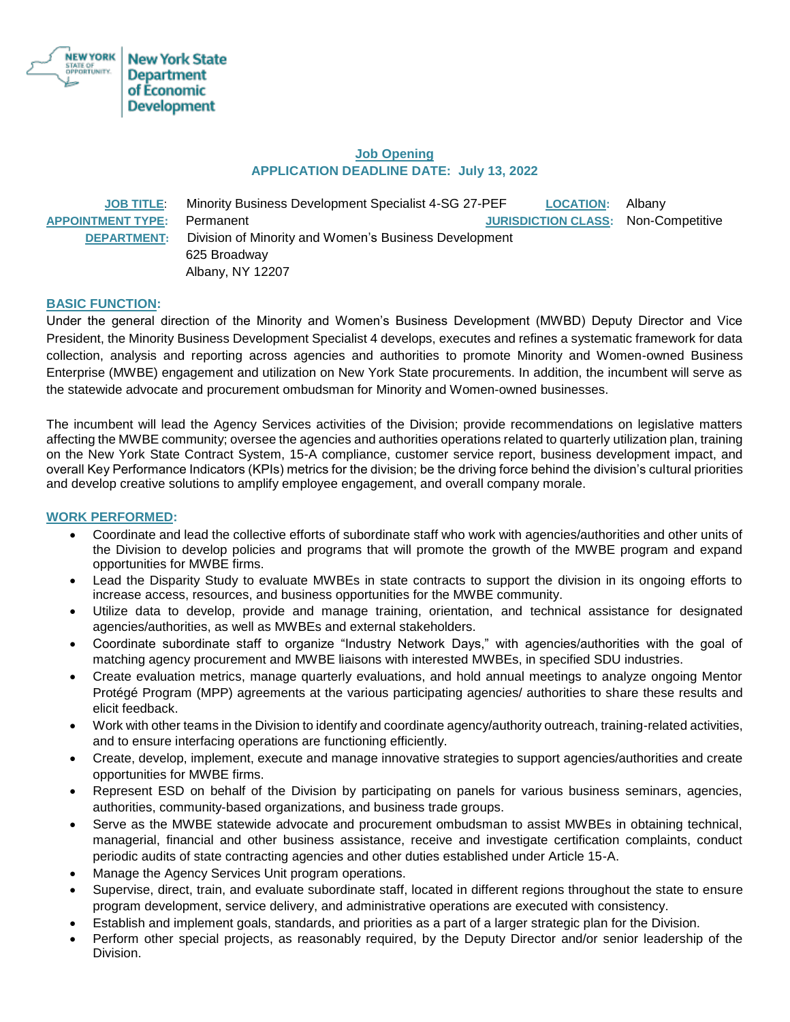

# **Job Opening APPLICATION DEADLINE DATE: July 13, 2022**

| <b>JOB TITLE:</b>        | Minority Business Development Specialist 4-SG 27-PEF  | <b>LOCATION:</b>                           | Albany |
|--------------------------|-------------------------------------------------------|--------------------------------------------|--------|
| <b>APPOINTMENT TYPE:</b> | Permanent                                             | <b>JURISDICTION CLASS: Non-Competitive</b> |        |
| <b>DEPARTMENT:</b>       | Division of Minority and Women's Business Development |                                            |        |
|                          | 625 Broadway                                          |                                            |        |
|                          | Albany, NY 12207                                      |                                            |        |

# **BASIC FUNCTION:**

Under the general direction of the Minority and Women's Business Development (MWBD) Deputy Director and Vice President, the Minority Business Development Specialist 4 develops, executes and refines a systematic framework for data collection, analysis and reporting across agencies and authorities to promote Minority and Women-owned Business Enterprise (MWBE) engagement and utilization on New York State procurements. In addition, the incumbent will serve as the statewide advocate and procurement ombudsman for Minority and Women-owned businesses.

The incumbent will lead the Agency Services activities of the Division; provide recommendations on legislative matters affecting the MWBE community; oversee the agencies and authorities operations related to quarterly utilization plan, training on the New York State Contract System, 15-A compliance, customer service report, business development impact, and overall Key Performance Indicators (KPIs) metrics for the division; be the driving force behind the division's cultural priorities and develop creative solutions to amplify employee engagement, and overall company morale.

## **WORK PERFORMED:**

- Coordinate and lead the collective efforts of subordinate staff who work with agencies/authorities and other units of the Division to develop policies and programs that will promote the growth of the MWBE program and expand opportunities for MWBE firms.
- Lead the Disparity Study to evaluate MWBEs in state contracts to support the division in its ongoing efforts to increase access, resources, and business opportunities for the MWBE community.
- Utilize data to develop, provide and manage training, orientation, and technical assistance for designated agencies/authorities, as well as MWBEs and external stakeholders.
- Coordinate subordinate staff to organize "Industry Network Days," with agencies/authorities with the goal of matching agency procurement and MWBE liaisons with interested MWBEs, in specified SDU industries.
- Create evaluation metrics, manage quarterly evaluations, and hold annual meetings to analyze ongoing Mentor Protégé Program (MPP) agreements at the various participating agencies/ authorities to share these results and elicit feedback.
- Work with other teams in the Division to identify and coordinate agency/authority outreach, training-related activities, and to ensure interfacing operations are functioning efficiently.
- Create, develop, implement, execute and manage innovative strategies to support agencies/authorities and create opportunities for MWBE firms.
- Represent ESD on behalf of the Division by participating on panels for various business seminars, agencies, authorities, community-based organizations, and business trade groups.
- Serve as the MWBE statewide advocate and procurement ombudsman to assist MWBEs in obtaining technical, managerial, financial and other business assistance, receive and investigate certification complaints, conduct periodic audits of state contracting agencies and other duties established under Article 15-A.
- Manage the Agency Services Unit program operations.
- Supervise, direct, train, and evaluate subordinate staff, located in different regions throughout the state to ensure program development, service delivery, and administrative operations are executed with consistency.
- Establish and implement goals, standards, and priorities as a part of a larger strategic plan for the Division.
- Perform other special projects, as reasonably required, by the Deputy Director and/or senior leadership of the Division.